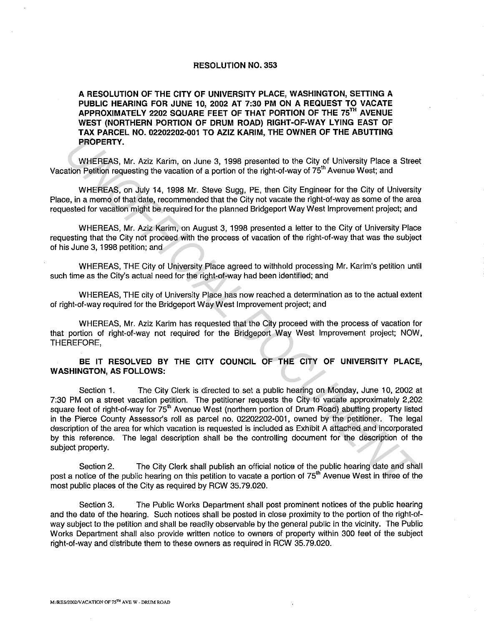#### RESOLUTION NO. 353

A RESOLUTION OF THE CITY OF UNIVERSITY PLACE, WASHINGTON, SETTING A PUBLIC HEARING FOR JUNE 10, 2002 AT 7:30 PM ON A REQUEST TO VACATE APPROXIMATELY 2202 SQUARE FEET OF THAT PORTION OF THE 75TH AVENUE WEST (NORTHERN PORTION OF DRUM ROAD) RIGHT-OF-WAY LYING EAST OF TAX PARCEL NO. 02202202-001 TO AZIZ KARIM, THE OWNER OF THE ABUTTING PROPERTY.

WHEREAS, Mr. Aziz Karim, on June 3, 1998 presented to the City of University Place a Street Vacation Petition requesting the vacation of a portion of the right-of-way of 75<sup>th</sup> Avenue West; and

WHEREAS, on July 14, 1998 Mr. Steve Sugg, PE, then City Engineer for the City of University Place, in a memo of that date, recommended that the City not vacate the right-of-way as some of the area requested for vacation might be required for the planned Bridgeport Way West Improvement project; and

WHEREAS, Mr. Aziz Karim, on August 3, 1998 presented a letter to the City of University Place requesting that the City not proceed with the process of vacation of the right-of-way that was the subject of his June 3, 1998 petition; and

WHEREAS, THE City of University Place agreed to withhold processing Mr. Karim's petition until such time as the City's actual need for the right-of-way had been identified; and

WHEREAS, THE city of University Place has now reached a determination as to the actual extent of right-of-way required for the Bridgeport Way West Improvement project; and

WHEREAS, Mr. Aziz Karim has requested that the City proceed with the process of vacation for that portion of right-of-way not required for the Bridgeport Way West Improvement project; NOW, THEREFORE,

### BE IT RESOLVED BY THE CITY COUNCIL OF THE CITY OF UNIVERSITY PLACE, WASHINGTON, AS FOLLOWS:

Section 1. The City Clerk is directed to set a public hearing on Monday, June 10, 2002 at 7:30 PM on a street vacation petition. The petitioner requests the City to vacate approximately 2,202 square feet of right-of-way for 75<sup>th</sup> Avenue West (northern portion of Drum Road) abutting property listed in the Pierce County Assessor's roll as parcel no. 02202202-001, owned by the petitioner. The legal description of the area for which vacation is requested is included as Exhibit A attached and incorporated by this reference. The legal description shall be the controlling document for the description of the subject property. **PROPERTY.**<br>
WHEREAS. Mr. Aziz Karim, on June 3, 1998 presented to the City of University Place a Stream<br>
undition Patition formulation and particular properties and the City of University Place a Stream<br>
U. WHEREAS, on Ju

Section 2. The City Clerk shall publish an official notice of the public hearing date and shall post a notice of the public hearing on this petition to vacate a portion of 75<sup>th</sup> Avenue West in three of the most public places of the City as required by RCW 35. 79.020.

Section 3. The Public Works Department shall post prominent notices of the public hearing and the date of the hearing. Such notices shall be posted in close proximity to the portion of the right-ofway subject to the petition and shall be readily observable by the general public in the vicinity. The Public Works Department shall also provide written notice to owners of property within 300 feet of the subject right-of-way and distribute them to these owners as required in RCW 35.79.020.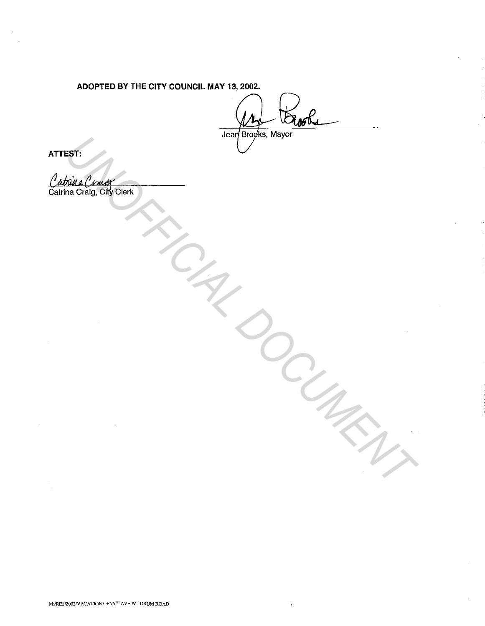# ADOPTED BY THE CITY COUNCIL MAY 13, 2002.

EST.<br>
DELAND CORRECTED TRANSPORTANT PROPERTY OF THE CORRECTED TRANSPORTANT PROPERTY OF THE CORRECTED TRANSPORTANT PARTY

÷,

ATTEST: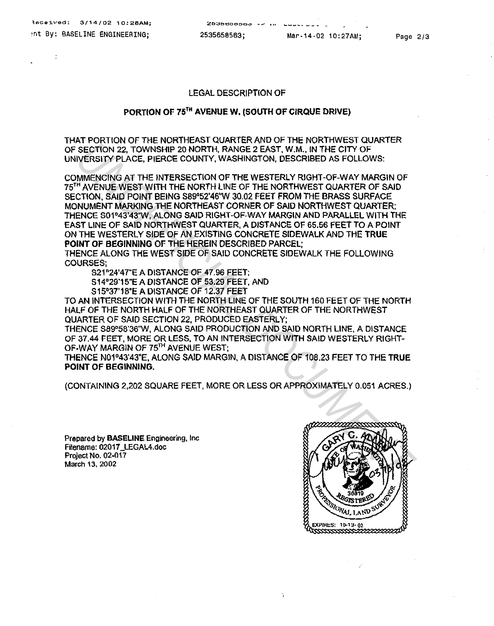### LEGAL DESCRIPTION OF

## PORTION OF 75<sup>TH</sup> AVENUE W. (SOUTH OF CIRQUE DRIVE)

THAT PORTION OF THE NORTHEAST QUARTER AND OF THE NORTHWEST QUARTER OF SECTION 22, TOWNSHIP 20 NORTH, RANGE 2 EAST, W.M., IN THE CITY OF UNIVERSITY PLACE, PIERCE COUNTY, WASHINGTON, DESCRIBED AS FOLLOWS:

COMMENCING AT THE INTERSECTION OF THE WESTERLY RIGHT-OF-WAY MARGIN OF 75<sup>TH</sup> AVENUE WEST WITH THE NORTH LINE OF THE NORTHWEST QUARTER OF SAID SECTION, SAID POINT BEING S89°52'46'W 30.02 FEET FROM THE BRASS SURFACE MONUMENT MARKING THE NORTHEAST CORNER OF SAID NORTHWEST QUARTER: THENCE S01°43'43"W, ALONG SAID RIGHT-OF-WAY MARGIN AND PARALLEL WITH THE EAST LINE OF SAID NORTHWEST QUARTER, A DISTANCE OF 65.56 FEET TO A POINT ON THE WESTERLY SIDE OF AN EXISTING CONCRETE SIDEWALK AND THE TRUE POINT OF BEGINNING OF THE HEREIN DESCRIBED PARCEL; **SECTION 22. TOWNSHIP 20 NORTH, RANGE 2 EAST, W.M., WITHE CITY OF ANY INCREST PLACE, PIERCE COUNTY, WASHINGTON, DESCRIBED AS FOLLOWS:**<br>
WERSITY PLACE, PIERCE COUNTY, WASHINGTON, DESCRIBED AS FOLLOWS:<br>
THORN CONTRACT BENSEC

THENCE ALONG THE WEST SIDE OF SAID CONCRETE SIDEWALK THE FOLLOWING COURSES;

S21°24'47"E A DISTANCE OF 47.96 FEET;

S14°29'15"E A DISTANCE OF 53.29 FEET, AND

S15°37'18"E A DISTANCE OF 12.37 FEET

TO AN INTERSECTION WITH THE NORTH LINE OF THE SOUTH 160 FEET OF THE NORTH HALF OF THE NORTH HALF OF THE NORTHEAST QUARTER OF THE NORTHWEST QUARTER OF SAID SECTION 22, PRODUCED EASTERLY;

THENCE S89°58'36"W, ALONG SAID PRODUCTION AND SAID NORTH LINE, A DISTANCE OF 37.44 FEET, MORE OR LESS, TO AN INTERSECTION WITH SAID WESTERLY RIGHT-OF-WAY MARGIN OF 75<sup>TH</sup> AVENUE WEST;

THENCE N01°43'43"E, ALONG SAID MARGIN, A DISTANCE OF 108.23 FEET TO THE TRUE POINT OF BEGINNING.

(CONTAINING 2,202 SQUARE FEET, MORE OR LESS OR APPROXIMATELY 0.051 ACRES.)

Prepared by BASELINE Engineering, Inc Filename: 02017 \_LEGAL4.doc Project No. 02-017 March 13. 2002